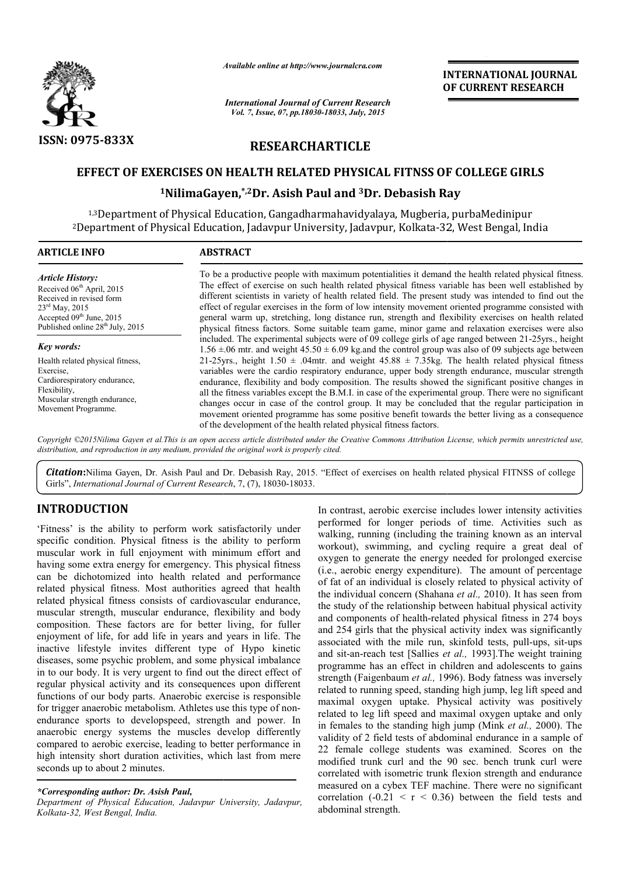

*Available online at http://www.journal http://www.journalcra.com*

*International Journal of Current Research Vol. 7, Issue, 07, pp.18030-18033, July, 2015*

**INTERNATIONAL JOURNAL OF CURRENT RESEARCH** 

# **RESEARCHARTICLE**

## **EFFECT OF EXERCISES ON HEALTH RELATED PHYSICAL FITNSS OF COLLEGE GIRLS**

# E**RCISES ON HEALTH RELATED PHYSICAL FITNSS OF (**<br><sup>1</sup>NilimaGayen,\*<sup>,2</sup>Dr. Asish Paul and <sup>3</sup>Dr. Debasish Ray

1,3Department of Physical Education, Gangadharmahavidyalaya, Mugberia, purbaMedinipur <sup>2</sup>Department of Physical Education, Jadavpur University, Jadavpur, Kolkata-32, West Bengal, India

| <b>ARTICLE INFO</b>                                                                                                                                                                                    | <b>ABSTRACT</b>                                                                                                                                                                                                                                                                                                                                                                                                                                                                                                                                                                                                                                                                                                  |  |  |  |  |
|--------------------------------------------------------------------------------------------------------------------------------------------------------------------------------------------------------|------------------------------------------------------------------------------------------------------------------------------------------------------------------------------------------------------------------------------------------------------------------------------------------------------------------------------------------------------------------------------------------------------------------------------------------------------------------------------------------------------------------------------------------------------------------------------------------------------------------------------------------------------------------------------------------------------------------|--|--|--|--|
| <b>Article History:</b><br>Received 06 <sup>th</sup> April, 2015<br>Received in revised form<br>$23^{\text{rd}}$ May, 2015<br>Accepted 09th June, 2015<br>Published online 28 <sup>th</sup> July, 2015 | To be a productive people with maximum potentialities it demand the health related physical fitness.<br>The effect of exercise on such health related physical fitness variable has been well established by<br>different scientists in variety of health related field. The present study was intended to find out the<br>effect of regular exercises in the form of low intensity movement oriented programme consisted with<br>general warm up, stretching, long distance run, strength and flexibility exercises on health related<br>physical fitness factors. Some suitable team game, minor game and relaxation exercises were also                                                                       |  |  |  |  |
| Key words:                                                                                                                                                                                             | included. The experimental subjects were of 09 college girls of age ranged between 21-25yrs., height<br>$1.56 \pm 0.06$ mtr. and weight $45.50 \pm 6.09$ kg and the control group was also of 09 subjects age between                                                                                                                                                                                                                                                                                                                                                                                                                                                                                            |  |  |  |  |
| Health related physical fitness,<br>Exercise.<br>Cardiorespiratory endurance,<br>Flexibility,<br>Muscular strength endurance,<br>Movement Programme.                                                   | 21-25yrs., height $1.50 \pm .04$ mtr. and weight $45.88 \pm 7.35$ kg. The health related physical fitness<br>variables were the cardio respiratory endurance, upper body strength endurance, muscular strength<br>endurance, flexibility and body composition. The results showed the significant positive changes in<br>all the fitness variables except the B.M.I. in case of the experimental group. There were no significant<br>changes occur in case of the control group. It may be concluded that the regular participation in<br>movement oriented programme has some positive benefit towards the better living as a consequence<br>of the development of the health related physical fitness factors. |  |  |  |  |

Copyright ©2015Nilima Gayen et al.This is an open access article distributed under the Creative Commons Attribution License, which permits unrestricted use, *distribution, and reproduction in any medium, provided the original work is properly cited.*

Citation: Nilima Gayen, Dr. Asish Paul and Dr. Debasish Ray, 2015. "Effect of exercises on health related physical FITNSS of college Girls", *International Journal of Current Research*, 7, (7), 18030-18033.

## **INTRODUCTION**

'Fitness' is the ability to perform work satisfactorily under specific condition. Physical fitness is the ability to perform muscular work in full enjoyment with minimum effort and having some extra energy for emergency. This physical fitness can be dichotomized into health related and performance related physical fitness. Most authorities agreed that health related physical fitness consists of cardiovascular endurance, muscular strength, muscular endurance, flexibility and body composition. These factors are for better living, for fuller enjoyment of life, for add life in years and years in life. The inactive lifestyle invites different type of Hypo kinetic diseases, some psychic problem, and some physical imbalance in to our body. It is very urgent to find out the direct effect of regular physical activity and its consequences upon different functions of our body parts. Anaerobic exercise is responsible for trigger anaerobic metabolism. Athletes use this type of nonendurance sports to developspeed, strength and power. In anaerobic energy systems the muscles develop differently compared to aerobic exercise, leading to better performance in high intensity short duration activities, which last from mere seconds up to about 2 minutes. ies agreed that health<br>diovascular endurance,<br>e, flexibility and body<br>etter living, for fuller<br>and years in life. The

*\*Corresponding author: Dr. Asish Paul,*

*Department of Physical Education, Jadavpur University, Jadavpur, Kolkata-32, West Bengal, India.*

In contrast, aerobic exercise includes lower intensity activities<br>
fitness is the ability to perform walking, running (including the training known as an interval<br>
ment with minimum effort and workout), swimming, and cycl performed for longer periods of time. Activities such as walking, running (including the training known as an interval workout), swimming, and cycling require a great deal of oxygen to generate the energy needed for prolonged exercise oxygen to generate the energy needed for prolonged exercise (i.e., aerobic energy expenditure). The amount of percentage of fat of an individual is closely related to physical activity of of fat of an individual is closely related to physical activity of the individual concern (Shahana *et al.*, 2010). It has seen from the study of the relationship between habitual physical activity and components of health-related physical fitness in 274 boys and 254 girls that the physical activity index was significantly the study of the relationship between habitual physical activity<br>and components of health-related physical fitness in 274 boys<br>and 254 girls that the physical activity index was significantly<br>associated with the mile run, and sit-an-reach test [Sallies *et al.*, 1993]. The weight training programme has an effect in children and adolescents to gains programme has an effect in children and adolescents to gains strength (Faigenbaum *et al.*, 1996). Body fatness was inversely related to running speed, standing high jump, leg lift speed and maximal oxygen uptake. Physical activity was positively related to leg lift speed and maximal oxygen uptake and only in females to the standing high jump (Mink *et al.*, 2000). The validity of 2 field tests of abdominal endurance in a sample of 22 female college students was examined. Scores on the modified trunk curl and the 90 sec. bench trunk curl were correlated with isometric trunk flexion strength and endurance measured on a cybex TEF machine. There were no significant correlation  $(-0.21 \le r \le 0.36)$  between the field tests and abdominal strength. ic exercise includes lower intensity activities<br>onger periods of time. Activities such as<br>(including the training known as an interval maximal oxygen uptake. Physical activity was positively related to leg lift speed and maximal oxygen uptake and only in females to the standing high jump (Mink *et al.*, 2000). The **EXERVATIONAL IOURNAL CORREMY IS (SERVATIONAL A)**<br> **COLLEGE GIRLS**<br> **COLLEGE STICAL FITNSS OF COLLEGE GIRLS**<br> **COLLEGE STICAL FITNSS OF COLLEGE GIRLS**<br> **DITE:**<br> **COLLEGE STICAL FITNSS OF COLLEGE GIRLS**<br> **DITE:**<br> **COLLEGE**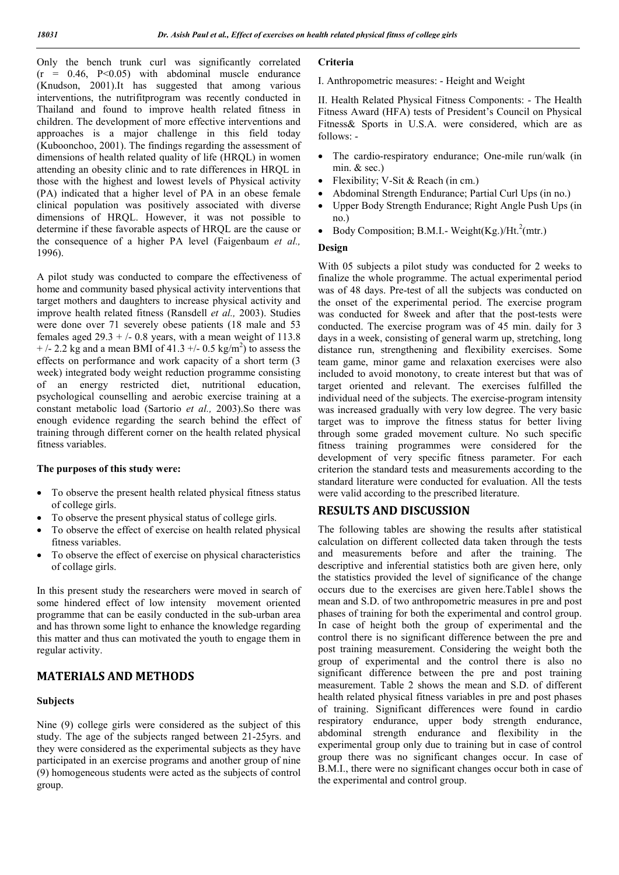Only the bench trunk curl was significantly correlated  $(r = 0.46, P<0.05)$  with abdominal muscle endurance (Knudson, 2001).It has suggested that among various interventions, the nutrifitprogram was recently conducted in Thailand and found to improve health related fitness in children. The development of more effective interventions and approaches is a major challenge in this field today (Kuboonchoo, 2001). The findings regarding the assessment of dimensions of health related quality of life (HRQL) in women attending an obesity clinic and to rate differences in HRQL in those with the highest and lowest levels of Physical activity (PA) indicated that a higher level of PA in an obese female clinical population was positively associated with diverse dimensions of HRQL. However, it was not possible to determine if these favorable aspects of HRQL are the cause or the consequence of a higher PA level (Faigenbaum *et al.,* 1996).

A pilot study was conducted to compare the effectiveness of home and community based physical activity interventions that target mothers and daughters to increase physical activity and improve health related fitness (Ransdell *et al.,* 2003). Studies were done over 71 severely obese patients (18 male and 53 females aged  $29.3 + (-0.8$  years, with a mean weight of 113.8  $+$  /- 2.2 kg and a mean BMI of 41.3 +/- 0.5 kg/m<sup>2</sup>) to assess the effects on performance and work capacity of a short term (3 week) integrated body weight reduction programme consisting of an energy restricted diet, nutritional education, psychological counselling and aerobic exercise training at a constant metabolic load (Sartorio *et al.,* 2003).So there was enough evidence regarding the search behind the effect of training through different corner on the health related physical fitness variables.

#### **The purposes of this study were:**

- To observe the present health related physical fitness status of college girls.
- To observe the present physical status of college girls.
- To observe the effect of exercise on health related physical fitness variables.
- To observe the effect of exercise on physical characteristics of collage girls.

In this present study the researchers were moved in search of some hindered effect of low intensity movement oriented programme that can be easily conducted in the sub-urban area and has thrown some light to enhance the knowledge regarding this matter and thus can motivated the youth to engage them in regular activity.

## **MATERIALS AND METHODS**

#### **Subjects**

Nine (9) college girls were considered as the subject of this study. The age of the subjects ranged between 21-25yrs. and they were considered as the experimental subjects as they have participated in an exercise programs and another group of nine (9) homogeneous students were acted as the subjects of control group.

#### **Criteria**

I. Anthropometric measures: - Height and Weight

II. Health Related Physical Fitness Components: - The Health Fitness Award (HFA) tests of President's Council on Physical Fitness& Sports in U.S.A. were considered, which are as follows: -

- The cardio-respiratory endurance: One-mile run/walk (in min. & sec.)
- Flexibility; V-Sit & Reach (in cm.)
- Abdominal Strength Endurance; Partial Curl Ups (in no.)
- Upper Body Strength Endurance; Right Angle Push Ups (in no.)
- Body Composition; B.M.I.- Weight(Kg.)/Ht. $^{2}$ (mtr.)

## **Design**

With 05 subjects a pilot study was conducted for 2 weeks to finalize the whole programme. The actual experimental period was of 48 days. Pre-test of all the subjects was conducted on the onset of the experimental period. The exercise program was conducted for 8week and after that the post-tests were conducted. The exercise program was of 45 min. daily for 3 days in a week, consisting of general warm up, stretching, long distance run, strengthening and flexibility exercises. Some team game, minor game and relaxation exercises were also included to avoid monotony, to create interest but that was of target oriented and relevant. The exercises fulfilled the individual need of the subjects. The exercise-program intensity was increased gradually with very low degree. The very basic target was to improve the fitness status for better living through some graded movement culture. No such specific fitness training programmes were considered for the development of very specific fitness parameter. For each criterion the standard tests and measurements according to the standard literature were conducted for evaluation. All the tests were valid according to the prescribed literature.

## **RESULTS AND DISCUSSION**

The following tables are showing the results after statistical calculation on different collected data taken through the tests and measurements before and after the training. The descriptive and inferential statistics both are given here, only the statistics provided the level of significance of the change occurs due to the exercises are given here.Table1 shows the mean and S.D. of two anthropometric measures in pre and post phases of training for both the experimental and control group. In case of height both the group of experimental and the control there is no significant difference between the pre and post training measurement. Considering the weight both the group of experimental and the control there is also no significant difference between the pre and post training measurement. Table 2 shows the mean and S.D. of different health related physical fitness variables in pre and post phases of training. Significant differences were found in cardio respiratory endurance, upper body strength endurance, abdominal strength endurance and flexibility in the experimental group only due to training but in case of control group there was no significant changes occur. In case of B.M.I., there were no significant changes occur both in case of the experimental and control group.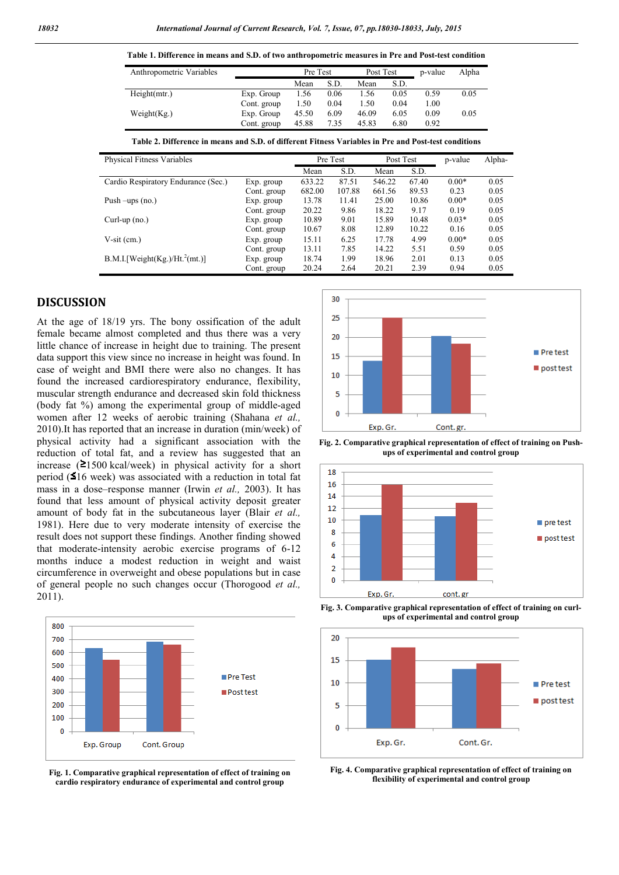**Table 1. Difference in means and S.D. of two anthropometric measures in Pre and Post-test condition**

| Anthropometric Variables                                                                             |             | Pre Test |        | Post Test |        | p-value | Alpha   |        |
|------------------------------------------------------------------------------------------------------|-------------|----------|--------|-----------|--------|---------|---------|--------|
|                                                                                                      |             | Mean     | S.D.   | Mean      | S.D.   |         |         |        |
| Height(mtr.)                                                                                         | Exp. Group  | 1.56     | 0.06   | 1.56      | 0.05   | 0.59    | 0.05    |        |
|                                                                                                      | Cont. group | 1.50     | 0.04   | 1.50      | 0.04   | 1.00    |         |        |
| Weight $(Kg)$                                                                                        | Exp. Group  | 45.50    | 6.09   | 46.09     | 6.05   | 0.09    | 0.05    |        |
|                                                                                                      | Cont. group | 45.88    | 7.35   | 45.83     | 6.80   | 0.92    |         |        |
| Table 2. Difference in means and S.D. of different Fitness Variables in Pre and Post-test conditions |             |          |        |           |        |         |         |        |
| Physical Fitness Variables                                                                           |             | Pre Test |        | Post Test |        |         | p-value | Alpha- |
|                                                                                                      |             | Mean     | S.D.   |           | Mean   | S.D.    |         |        |
| Cardio Respiratory Endurance (Sec.)                                                                  | Exp. group  | 633.22   | 87.51  |           | 546.22 | 67.40   | $0.00*$ | 0.05   |
|                                                                                                      | Cont. group | 682.00   | 107.88 |           | 661.56 | 89.53   | 0.23    | 0.05   |
| Push $-\text{ups}$ (no.)                                                                             | Exp. group  | 13.78    | 11.41  |           | 25.00  | 10.86   | $0.00*$ | 0.05   |
|                                                                                                      | Cont. group | 20.22    | 9.86   |           | 18.22  | 9.17    | 0.19    | 0.05   |
| $Curl-up$ (no.)                                                                                      | Exp. group  | 10.89    | 9.01   |           | 15.89  | 10.48   | $0.03*$ | 0.05   |
|                                                                                                      | Cont. group | 10.67    | 8.08   |           | 12.89  | 10.22   | 0.16    | 0.05   |
| $V-sit$ (cm.)                                                                                        | Exp. group  | 15.11    | 6.25   |           | 17.78  | 4.99    | $0.00*$ | 0.05   |
|                                                                                                      | Cont. group | 13.11    | 7.85   |           | 14.22  | 5.51    | 0.59    | 0.05   |
| $B.M.I.$ [Weight(Kg.)/Ht. <sup>2</sup> (mt.)]                                                        | Exp. group  | 18.74    | 1.99   |           | 18.96  | 2.01    | 0.13    | 0.05   |
|                                                                                                      | Cont. group | 20.24    | 2.64   |           | 20.21  | 2.39    | 0.94    | 0.05   |

## **DISCUSSION**

At the age of 18/19 yrs. The bony ossification of the adult female became almost completed and thus there was a very little chance of increase in height due to training. The present data support this view since no increase in height was found. In case of weight and BMI there were also no changes. It has found the increased cardiorespiratory endurance, flexibility, muscular strength endurance and decreased skin fold thickness (body fat %) among the experimental group of middle-aged women after 12 weeks of aerobic training (Shahana *et al.,* 2010).It has reported that an increase in duration (min/week) of physical activity had a significant association with the reduction of total fat, and a review has suggested that an increase ( 1500 kcal/week) in physical activity for a short period (516 week) was associated with a reduction in total fat mass in a dose–response manner (Irwin *et al.,* 2003). It has found that less amount of physical activity deposit greater amount of body fat in the subcutaneous layer (Blair *et al.,* 1981). Here due to very moderate intensity of exercise the result does not support these findings. Another finding showed that moderate-intensity aerobic exercise programs of 6-12 months induce a modest reduction in weight and waist circumference in overweight and obese populations but in case of general people no such changes occur (Thorogood *et al.,* 2011).



**Fig. 1. Comparative graphical representation of effect of training on cardio respiratory endurance of experimental and control group**



**Fig. 2. Comparative graphical representation of effect of training on Pushups of experimental and control group**



**Fig. 3. Comparative graphical representation of effect of training on curlups of experimental and control group**



**Fig. 4. Comparative graphical representation of effect of training on flexibility of experimental and control group**